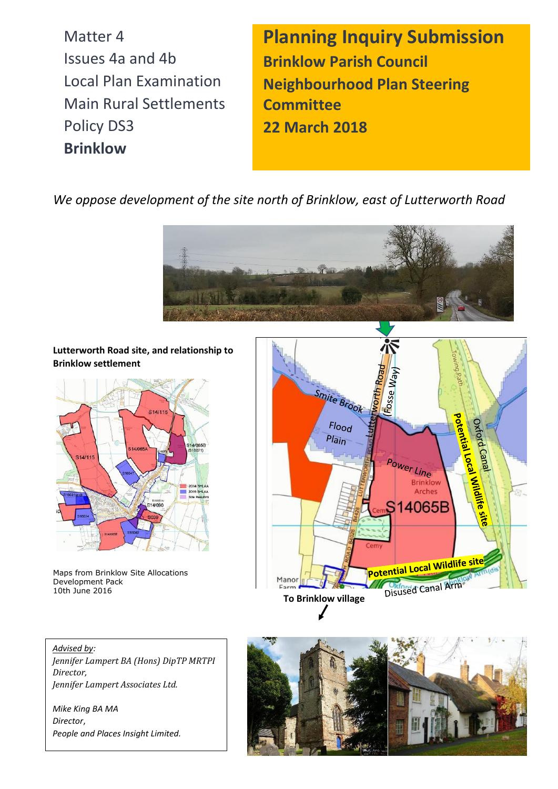Matter 4 Issues 4a and 4b Local Plan Examination Main Rural Settlements Policy DS3 **Brinklow**

**Planning Inquiry Submission Brinklow Parish Council Neighbourhood Plan Steering Committee 22 March 2018**

*We oppose development of the site north of Brinklow, east of Lutterworth Road* 



**Lutterworth Road site, and relationship to Brinklow settlement**



Maps from Brinklow Site Allocations Development Pack 10th June 2016



*Advised by: Jennifer Lampert BA (Hons) DipTP MRTPI Director, Jennifer Lampert Associates Ltd.*

*Mike King BA MA Director*, *People and Places Insight Limited.*

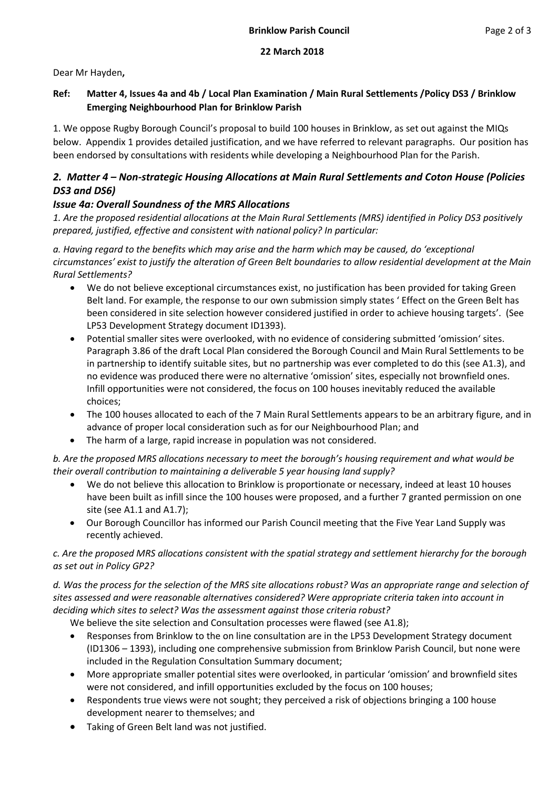## **22 March 2018**

Dear Mr Hayden**,**

# **Ref: Matter 4, Issues 4a and 4b / Local Plan Examination / Main Rural Settlements /Policy DS3 / Brinklow Emerging Neighbourhood Plan for Brinklow Parish**

1. We oppose Rugby Borough Council's proposal to build 100 houses in Brinklow, as set out against the MIQs below. Appendix 1 provides detailed justification, and we have referred to relevant paragraphs. Our position has been endorsed by consultations with residents while developing a Neighbourhood Plan for the Parish.

# *2. Matter 4 – Non-strategic Housing Allocations at Main Rural Settlements and Coton House (Policies DS3 and DS6)*

# *Issue 4a: Overall Soundness of the MRS Allocations*

*1. Are the proposed residential allocations at the Main Rural Settlements (MRS) identified in Policy DS3 positively prepared, justified, effective and consistent with national policy? In particular:* 

*a. Having regard to the benefits which may arise and the harm which may be caused, do 'exceptional circumstances' exist to justify the alteration of Green Belt boundaries to allow residential development at the Main Rural Settlements?* 

- We do not believe exceptional circumstances exist, no justification has been provided for taking Green Belt land. For example, the response to our own submission simply states ' Effect on the Green Belt has been considered in site selection however considered justified in order to achieve housing targets'. (See LP53 Development Strategy document ID1393).
- Potential smaller sites were overlooked, with no evidence of considering submitted 'omission' sites. Paragraph 3.86 of the draft Local Plan considered the Borough Council and Main Rural Settlements to be in partnership to identify suitable sites, but no partnership was ever completed to do this (see A1.3), and no evidence was produced there were no alternative 'omission' sites, especially not brownfield ones. Infill opportunities were not considered, the focus on 100 houses inevitably reduced the available choices;
- The 100 houses allocated to each of the 7 Main Rural Settlements appears to be an arbitrary figure, and in advance of proper local consideration such as for our Neighbourhood Plan; and
- The harm of a large, rapid increase in population was not considered.

*b. Are the proposed MRS allocations necessary to meet the borough's housing requirement and what would be their overall contribution to maintaining a deliverable 5 year housing land supply?*

- We do not believe this allocation to Brinklow is proportionate or necessary, indeed at least 10 houses have been built as infill since the 100 houses were proposed, and a further 7 granted permission on one site (see A1.1 and A1.7);
- Our Borough Councillor has informed our Parish Council meeting that the Five Year Land Supply was recently achieved.

*c. Are the proposed MRS allocations consistent with the spatial strategy and settlement hierarchy for the borough as set out in Policy GP2?* 

*d. Was the process for the selection of the MRS site allocations robust? Was an appropriate range and selection of sites assessed and were reasonable alternatives considered? Were appropriate criteria taken into account in deciding which sites to select? Was the assessment against those criteria robust?*

We believe the site selection and Consultation processes were flawed (see A1.8);

- Responses from Brinklow to the on line consultation are in the LP53 Development Strategy document (ID1306 – 1393), including one comprehensive submission from Brinklow Parish Council, but none were included in the Regulation Consultation Summary document;
- More appropriate smaller potential sites were overlooked, in particular 'omission' and brownfield sites were not considered, and infill opportunities excluded by the focus on 100 houses;
- Respondents true views were not sought; they perceived a risk of objections bringing a 100 house development nearer to themselves; and
- Taking of Green Belt land was not justified.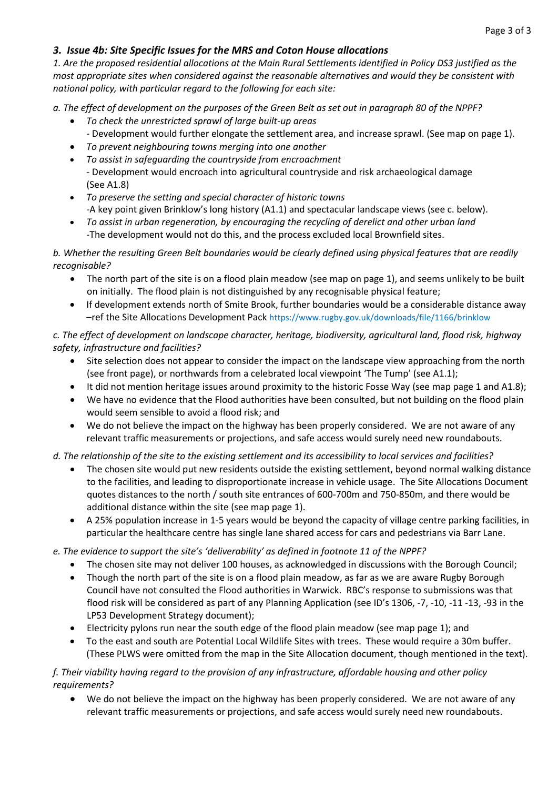## *3. Issue 4b: Site Specific Issues for the MRS and Coton House allocations*

*1. Are the proposed residential allocations at the Main Rural Settlements identified in Policy DS3 justified as the most appropriate sites when considered against the reasonable alternatives and would they be consistent with national policy, with particular regard to the following for each site:* 

*a. The effect of development on the purposes of the Green Belt as set out in paragraph 80 of the NPPF?* 

- *To check the unrestricted sprawl of large built-up areas* 
	- Development would further elongate the settlement area, and increase sprawl. (See map on page 1).
- *To prevent neighbouring towns merging into one another*
- *To assist in safeguarding the countryside from encroachment* - Development would encroach into agricultural countryside and risk archaeological damage (See A1.8)
- *To preserve the setting and special character of historic towns* -A key point given Brinklow's long history (A1.1) and spectacular landscape views (see c. below).
- *To assist in urban regeneration, by encouraging the recycling of derelict and other urban land* -The development would not do this, and the process excluded local Brownfield sites.

#### *b. Whether the resulting Green Belt boundaries would be clearly defined using physical features that are readily recognisable?*

- The north part of the site is on a flood plain meadow (see map on page 1), and seems unlikely to be built on initially. The flood plain is not distinguished by any recognisable physical feature;
- If development extends north of Smite Brook, further boundaries would be a considerable distance away –ref the Site Allocations Development Pack <https://www.rugby.gov.uk/downloads/file/1166/brinklow>

# *c. The effect of development on landscape character, heritage, biodiversity, agricultural land, flood risk, highway safety, infrastructure and facilities?*

- Site selection does not appear to consider the impact on the landscape view approaching from the north (see front page), or northwards from a celebrated local viewpoint 'The Tump' (see A1.1);
- It did not mention heritage issues around proximity to the historic Fosse Way (see map page 1 and A1.8);
- We have no evidence that the Flood authorities have been consulted, but not building on the flood plain would seem sensible to avoid a flood risk; and
- We do not believe the impact on the highway has been properly considered. We are not aware of any relevant traffic measurements or projections, and safe access would surely need new roundabouts.

## *d. The relationship of the site to the existing settlement and its accessibility to local services and facilities?*

- The chosen site would put new residents outside the existing settlement, beyond normal walking distance to the facilities, and leading to disproportionate increase in vehicle usage. The Site Allocations Document quotes distances to the north / south site entrances of 600-700m and 750-850m, and there would be additional distance within the site (see map page 1).
- A 25% population increase in 1-5 years would be beyond the capacity of village centre parking facilities, in particular the healthcare centre has single lane shared access for cars and pedestrians via Barr Lane.

#### *e. The evidence to support the site's 'deliverability' as defined in footnote 11 of the NPPF?*

- The chosen site may not deliver 100 houses, as acknowledged in discussions with the Borough Council;
- Though the north part of the site is on a flood plain meadow, as far as we are aware Rugby Borough Council have not consulted the Flood authorities in Warwick. RBC's response to submissions was that flood risk will be considered as part of any Planning Application (see ID's 1306, -7, -10, -11 -13, -93 in the LP53 Development Strategy document);
- Electricity pylons run near the south edge of the flood plain meadow (see map page 1); and
- To the east and south are Potential Local Wildlife Sites with trees. These would require a 30m buffer. (These PLWS were omitted from the map in the Site Allocation document, though mentioned in the text).

#### *f. Their viability having regard to the provision of any infrastructure, affordable housing and other policy requirements?*

• We do not believe the impact on the highway has been properly considered. We are not aware of any relevant traffic measurements or projections, and safe access would surely need new roundabouts.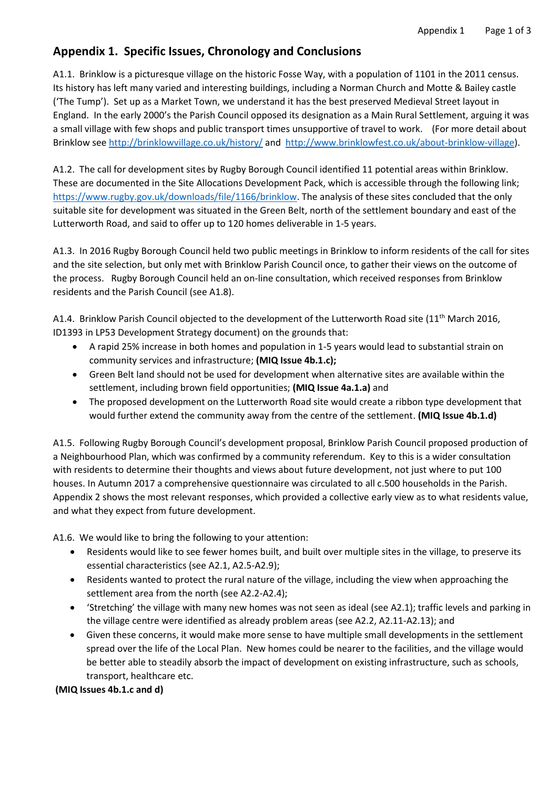# **Appendix 1. Specific Issues, Chronology and Conclusions**

A1.1. Brinklow is a picturesque village on the historic Fosse Way, with a population of 1101 in the 2011 census. Its history has left many varied and interesting buildings, including a Norman Church and Motte & Bailey castle ('The Tump'). Set up as a Market Town, we understand it has the best preserved Medieval Street layout in England. In the early 2000's the Parish Council opposed its designation as a Main Rural Settlement, arguing it was a small village with few shops and public transport times unsupportive of travel to work. (For more detail about Brinklow see<http://brinklowvillage.co.uk/history/> and [http://www.brinklowfest.co.uk/about-brinklow-village\)](http://www.brinklowfest.co.uk/about-brinklow-village).

A1.2. The call for development sites by Rugby Borough Council identified 11 potential areas within Brinklow. These are documented in the Site Allocations Development Pack, which is accessible through the following link; [https://www.rugby.gov.uk/downloads/file/1166/brinklow.](https://www.rugby.gov.uk/downloads/file/1166/brinklow) The analysis of these sites concluded that the only suitable site for development was situated in the Green Belt, north of the settlement boundary and east of the Lutterworth Road, and said to offer up to 120 homes deliverable in 1-5 years.

A1.3. In 2016 Rugby Borough Council held two public meetings in Brinklow to inform residents of the call for sites and the site selection, but only met with Brinklow Parish Council once, to gather their views on the outcome of the process. Rugby Borough Council held an on-line consultation, which received responses from Brinklow residents and the Parish Council (see A1.8).

A1.4. Brinklow Parish Council objected to the development of the Lutterworth Road site (11<sup>th</sup> March 2016, ID1393 in LP53 Development Strategy document) on the grounds that:

- A rapid 25% increase in both homes and population in 1-5 years would lead to substantial strain on community services and infrastructure; **(MIQ Issue 4b.1.c);**
- Green Belt land should not be used for development when alternative sites are available within the settlement, including brown field opportunities; **(MIQ Issue 4a.1.a)** and
- The proposed development on the Lutterworth Road site would create a ribbon type development that would further extend the community away from the centre of the settlement. **(MIQ Issue 4b.1.d)**

A1.5. Following Rugby Borough Council's development proposal, Brinklow Parish Council proposed production of a Neighbourhood Plan, which was confirmed by a community referendum. Key to this is a wider consultation with residents to determine their thoughts and views about future development, not just where to put 100 houses. In Autumn 2017 a comprehensive questionnaire was circulated to all c.500 households in the Parish. Appendix 2 shows the most relevant responses, which provided a collective early view as to what residents value, and what they expect from future development.

A1.6. We would like to bring the following to your attention:

- Residents would like to see fewer homes built, and built over multiple sites in the village, to preserve its essential characteristics (see A2.1, A2.5-A2.9);
- Residents wanted to protect the rural nature of the village, including the view when approaching the settlement area from the north (see A2.2-A2.4);
- 'Stretching' the village with many new homes was not seen as ideal (see A2.1); traffic levels and parking in the village centre were identified as already problem areas (see A2.2, A2.11-A2.13); and
- Given these concerns, it would make more sense to have multiple small developments in the settlement spread over the life of the Local Plan. New homes could be nearer to the facilities, and the village would be better able to steadily absorb the impact of development on existing infrastructure, such as schools, transport, healthcare etc.

**(MIQ Issues 4b.1.c and d)**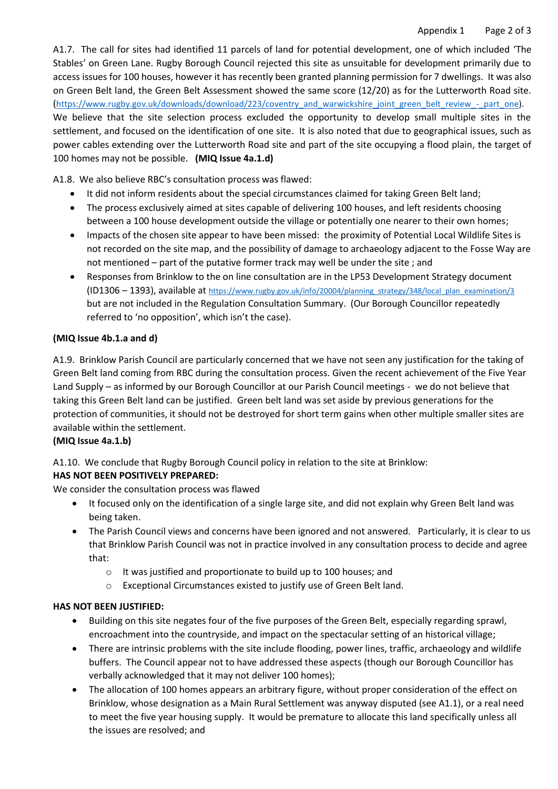A1.7. The call for sites had identified 11 parcels of land for potential development, one of which included 'The Stables' on Green Lane. Rugby Borough Council rejected this site as unsuitable for development primarily due to access issues for 100 houses, however it has recently been granted planning permission for 7 dwellings. It was also on Green Belt land, the Green Belt Assessment showed the same score (12/20) as for the Lutterworth Road site. ([https://www.rugby.gov.uk/downloads/download/223/coventry\\_and\\_warwickshire\\_joint\\_green\\_belt\\_review\\_-\\_part\\_one\)](https://www.rugby.gov.uk/downloads/download/223/coventry_and_warwickshire_joint_green_belt_review_-_part_one). We believe that the site selection process excluded the opportunity to develop small multiple sites in the settlement, and focused on the identification of one site. It is also noted that due to geographical issues, such as power cables extending over the Lutterworth Road site and part of the site occupying a flood plain, the target of 100 homes may not be possible. **(MIQ Issue 4a.1.d)**

A1.8. We also believe RBC's consultation process was flawed:

- It did not inform residents about the special circumstances claimed for taking Green Belt land;
- The process exclusively aimed at sites capable of delivering 100 houses, and left residents choosing between a 100 house development outside the village or potentially one nearer to their own homes;
- Impacts of the chosen site appear to have been missed: the proximity of Potential Local Wildlife Sites is not recorded on the site map, and the possibility of damage to archaeology adjacent to the Fosse Way are not mentioned – part of the putative former track may well be under the site ; and
- Responses from Brinklow to the on line consultation are in the LP53 Development Strategy document (ID1306 – 1393), available at [https://www.rugby.gov.uk/info/20004/planning\\_strategy/348/local\\_plan\\_examination/3](https://www.rugby.gov.uk/info/20004/planning_strategy/348/local_plan_examination/3)  but are not included in the Regulation Consultation Summary. (Our Borough Councillor repeatedly referred to 'no opposition', which isn't the case).

#### **(MIQ Issue 4b.1.a and d)**

A1.9. Brinklow Parish Council are particularly concerned that we have not seen any justification for the taking of Green Belt land coming from RBC during the consultation process. Given the recent achievement of the Five Year Land Supply – as informed by our Borough Councillor at our Parish Council meetings - we do not believe that taking this Green Belt land can be justified. Green belt land was set aside by previous generations for the protection of communities, it should not be destroyed for short term gains when other multiple smaller sites are available within the settlement.

## **(MIQ Issue 4a.1.b)**

A1.10. We conclude that Rugby Borough Council policy in relation to the site at Brinklow:

## **HAS NOT BEEN POSITIVELY PREPARED:**

We consider the consultation process was flawed

- It focused only on the identification of a single large site, and did not explain why Green Belt land was being taken.
- The Parish Council views and concerns have been ignored and not answered. Particularly, it is clear to us that Brinklow Parish Council was not in practice involved in any consultation process to decide and agree that:
	- o It was justified and proportionate to build up to 100 houses; and
	- o Exceptional Circumstances existed to justify use of Green Belt land.

## **HAS NOT BEEN JUSTIFIED:**

- Building on this site negates four of the five purposes of the Green Belt, especially regarding sprawl, encroachment into the countryside, and impact on the spectacular setting of an historical village;
- There are intrinsic problems with the site include flooding, power lines, traffic, archaeology and wildlife buffers. The Council appear not to have addressed these aspects (though our Borough Councillor has verbally acknowledged that it may not deliver 100 homes);
- The allocation of 100 homes appears an arbitrary figure, without proper consideration of the effect on Brinklow, whose designation as a Main Rural Settlement was anyway disputed (see A1.1), or a real need to meet the five year housing supply. It would be premature to allocate this land specifically unless all the issues are resolved; and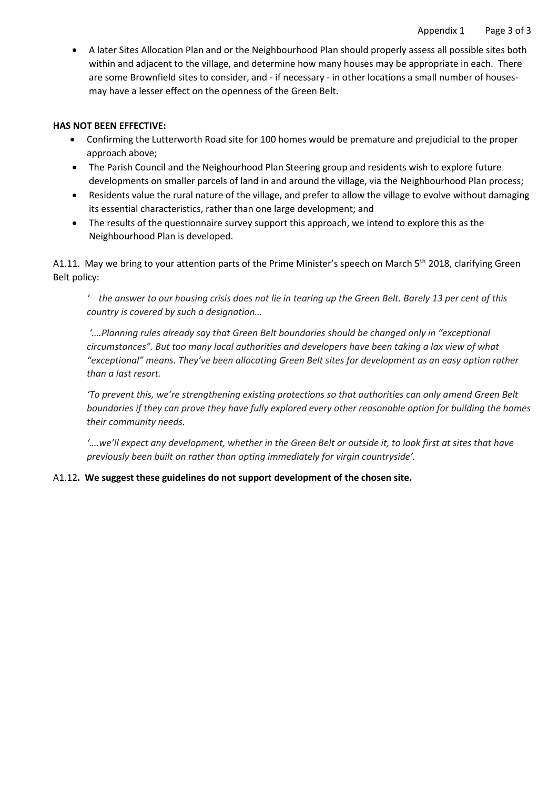• A later Sites Allocation Plan and or the Neighbourhood Plan should properly assess all possible sites both within and adjacent to the village, and determine how many houses may be appropriate in each. There are some Brownfield sites to consider, and - if necessary - in other locations a small number of housesmay have a lesser effect on the openness of the Green Belt.

#### **HAS NOT BEEN EFFECTIVE:**

- Confirming the Lutterworth Road site for 100 homes would be premature and prejudicial to the proper approach above;
- The Parish Council and the Neighourhood Plan Steering group and residents wish to explore future developments on smaller parcels of land in and around the village, via the Neighbourhood Plan process;
- Residents value the rural nature of the village, and prefer to allow the village to evolve without damaging its essential characteristics, rather than one large development; and
- The results of the questionnaire survey support this approach, we intend to explore this as the Neighbourhood Plan is developed.

A1.11. May we bring to your attention parts of the Prime Minister's speech on March  $5<sup>th</sup>$  2018, clarifying Green Belt policy:

*' the answer to our housing crisis does not lie in tearing up the Green Belt. Barely 13 per cent of this country is covered by such a designation…*

*'….Planning rules already say that Green Belt boundaries should be changed only in "exceptional circumstances". But too many local authorities and developers have been taking a lax view of what "exceptional" means. They've been allocating Green Belt sites for development as an easy option rather than a last resort.*

*'To prevent this, we're strengthening existing protections so that authorities can only amend Green Belt boundaries if they can prove they have fully explored every other reasonable option for building the homes their community needs.*

*'….we'll expect any development, whether in the Green Belt or outside it, to look first at sites that have previously been built on rather than opting immediately for virgin countryside'.*

#### A1.12**. We suggest these guidelines do not support development of the chosen site.**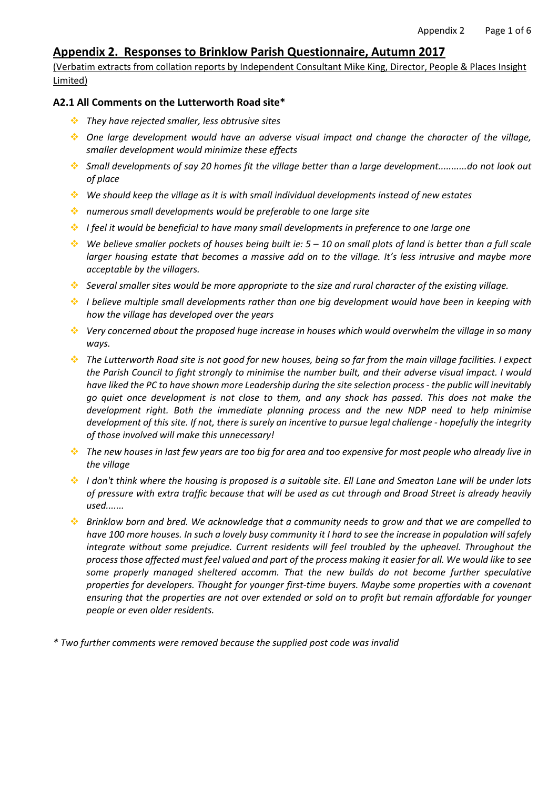# **Appendix 2. Responses to Brinklow Parish Questionnaire, Autumn 2017**

(Verbatim extracts from collation reports by Independent Consultant Mike King, Director, People & Places Insight Limited)

#### **A2.1 All Comments on the Lutterworth Road site\***

- ❖ *They have rejected smaller, less obtrusive sites*
- ❖ *One large development would have an adverse visual impact and change the character of the village, smaller development would minimize these effects*
- \* Small developments of say 20 homes fit the village better than a large development...........do not look out *of place*
- ❖ *We should keep the village as it is with small individual developments instead of new estates*
- ❖ *numerous small developments would be preferable to one large site*
- ❖ *I feel it would be beneficial to have many small developments in preference to one large one*
- $\cdot$  We believe smaller pockets of houses being built ie: 5 10 on small plots of land is better than a full scale larger housing estate that becomes a massive add on to the village. It's less intrusive and maybe more *acceptable by the villagers.*
- Several smaller sites would be more appropriate to the size and rural character of the existing village.
- ❖ *I believe multiple small developments rather than one big development would have been in keeping with how the village has developed over the years*
- ❖ *Very concerned about the proposed huge increase in houses which would overwhelm the village in so many ways.*
- **A** The Lutterworth Road site is not good for new houses, being so far from the main village facilities. I expect the Parish Council to fight strongly to minimise the number built, and their adverse visual impact. I would have liked the PC to have shown more Leadership during the site selection process - the public will inevitably go quiet once development is not close to them, and any shock has passed. This does not make the *development right. Both the immediate planning process and the new NDP need to help minimise* development of this site. If not, there is surely an incentive to pursue legal challenge - hopefully the integrity *of those involved will make this unnecessary!*
- iangleright The new houses in last few years are too big for area and too expensive for most people who already live in *the village*
- I don't think where the housing is proposed is a suitable site. Ell Lane and Smeaton Lane will be under lots of pressure with extra traffic because that will be used as cut through and Broad Street is already heavily *used.......*
- **SCO** Brinklow born and bred. We acknowledge that a community needs to grow and that we are compelled to have 100 more houses. In such a lovely busy community it I hard to see the increase in population will safely *integrate without some prejudice. Current residents will feel troubled by the upheavel. Throughout the* process those affected must feel valued and part of the process making it easier for all. We would like to see *some properly managed sheltered accomm. That the new builds do not become further speculative properties for developers. Thought for younger first-time buyers. Maybe some properties with a covenant* ensuring that the properties are not over extended or sold on to profit but remain affordable for younger *people or even older residents.*
- *\* Two further comments were removed because the supplied post code was invalid*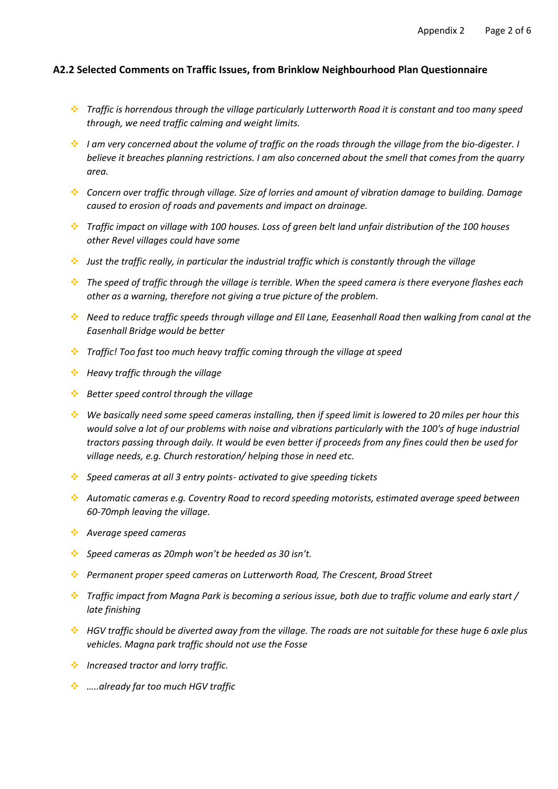#### **A2.2 Selected Comments on Traffic Issues, from Brinklow Neighbourhood Plan Questionnaire**

- ❖ *Traffic is horrendous through the village particularly Lutterworth Road it is constant and too many speed through, we need traffic calming and weight limits.*
- ❖ *I am very concerned about the volume of traffic on the roads through the village from the bio-digester. I believe it breaches planning restrictions. I am also concerned about the smell that comes from the quarry area.*
- ❖ *Concern over traffic through village. Size of lorries and amount of vibration damage to building. Damage caused to erosion of roads and pavements and impact on drainage.*
- ❖ *Traffic impact on village with 100 houses. Loss of green belt land unfair distribution of the 100 houses other Revel villages could have some*
- ❖ *Just the traffic really, in particular the industrial traffic which is constantly through the village*
- ❖ *The speed of traffic through the village is terrible. When the speed camera is there everyone flashes each other as a warning, therefore not giving a true picture of the problem.*
- ❖ *Need to reduce traffic speeds through village and Ell Lane, Eeasenhall Road then walking from canal at the Easenhall Bridge would be better*
- ❖ *Traffic! Too fast too much heavy traffic coming through the village at speed*
- ❖ *Heavy traffic through the village*
- ❖ *Better speed control through the village*
- ❖ *We basically need some speed cameras installing, then if speed limit is lowered to 20 miles per hour this would solve a lot of our problems with noise and vibrations particularly with the 100's of huge industrial tractors passing through daily. It would be even better if proceeds from any fines could then be used for village needs, e.g. Church restoration/ helping those in need etc.*
- ❖ *Speed cameras at all 3 entry points- activated to give speeding tickets*
- ❖ *Automatic cameras e.g. Coventry Road to record speeding motorists, estimated average speed between 60-70mph leaving the village.*
- ❖ *Average speed cameras*
- ❖ *Speed cameras as 20mph won't be heeded as 30 isn't.*
- ❖ *Permanent proper speed cameras on Lutterworth Road, The Crescent, Broad Street*
- ❖ *Traffic impact from Magna Park is becoming a serious issue, both due to traffic volume and early start / late finishing*
- ❖ *HGV traffic should be diverted away from the village. The roads are not suitable for these huge 6 axle plus vehicles. Magna park traffic should not use the Fosse*
- ❖ *Increased tractor and lorry traffic.*
- ❖ *…..already far too much HGV traffic*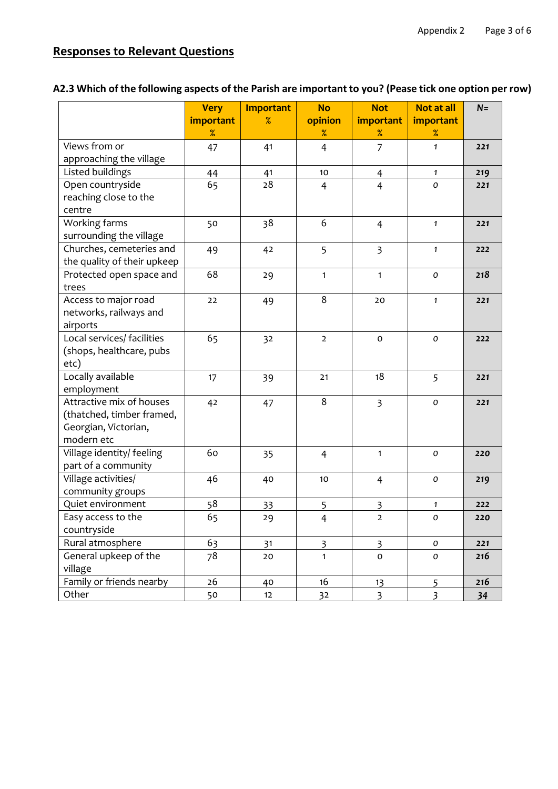# **Responses to Relevant Questions**

|                             | <b>Very</b> | <b>Important</b> | <b>No</b>               | <b>Not</b>              | <b>Not at all</b>  | $N =$ |
|-----------------------------|-------------|------------------|-------------------------|-------------------------|--------------------|-------|
|                             | important   | %                | opinion                 | important               | important          |       |
|                             | %           |                  | %                       | $\%$                    | %                  |       |
| Views from or               | 47          | 41               | $\overline{4}$          | $\overline{7}$          | $\mathbf{1}$       | 221   |
| approaching the village     |             |                  |                         |                         |                    |       |
| Listed buildings            | 44          | 41               | 10                      | 4                       | $\mathbf{1}$       | 219   |
| Open countryside            | 65          | 28               | $\overline{4}$          | $\overline{4}$          | $\pmb{\mathit{o}}$ | 221   |
| reaching close to the       |             |                  |                         |                         |                    |       |
| centre                      |             |                  |                         |                         |                    |       |
| Working farms               | 50          | 38               | 6                       | $\overline{4}$          | $\mathbf{1}$       | 221   |
| surrounding the village     |             |                  |                         |                         |                    |       |
| Churches, cemeteries and    | 49          | 42               | 5                       | 3                       | $\mathbf{1}$       | 222   |
| the quality of their upkeep |             |                  |                         |                         |                    |       |
| Protected open space and    | 68          | 29               | $\mathbf{1}$            | $\mathbf{1}$            | $\mathbf o$        | 218   |
| trees                       |             |                  |                         |                         |                    |       |
| Access to major road        | 22          | 49               | 8                       | 20                      | $\mathbf{1}$       | 221   |
| networks, railways and      |             |                  |                         |                         |                    |       |
| airports                    |             |                  |                         |                         |                    |       |
| Local services/ facilities  | 65          | 32               | $\overline{2}$          | $\mathbf 0$             | $\cal O$           | 222   |
| (shops, healthcare, pubs    |             |                  |                         |                         |                    |       |
| etc)                        |             |                  |                         |                         |                    |       |
| Locally available           | 17          | 39               | 21                      | 18                      | 5                  | 221   |
| employment                  |             |                  |                         |                         |                    |       |
| Attractive mix of houses    | 42          | 47               | 8                       | $\overline{3}$          | $\cal O$           | 221   |
| (thatched, timber framed,   |             |                  |                         |                         |                    |       |
| Georgian, Victorian,        |             |                  |                         |                         |                    |       |
| modern etc                  |             |                  |                         |                         |                    |       |
| Village identity/ feeling   | 60          | 35               | $\overline{4}$          | $\mathbf{1}$            | $\mathbf o$        | 220   |
| part of a community         |             |                  |                         |                         |                    |       |
| Village activities/         | 46          | 40               | 10                      | $\overline{4}$          | $\cal O$           | 219   |
| community groups            |             |                  |                         |                         |                    |       |
| Quiet environment           | 58          | 33               | 5                       | $\overline{\mathbf{3}}$ | $\mathbf{1}$       | 222   |
| Easy access to the          | 65          | 29               | $\overline{4}$          | $\overline{2}$          | $\mathcal{O}$      | 220   |
| countryside                 |             |                  |                         |                         |                    |       |
| Rural atmosphere            | 63          | 31               | $\overline{\mathbf{3}}$ | $\overline{\mathbf{3}}$ | 0                  | 221   |
| General upkeep of the       | 78          | 20               | $\mathbf{1}$            | $\mathsf{o}$            | $\cal O$           | 216   |
| village                     |             |                  |                         |                         |                    |       |
| Family or friends nearby    | 26          | 40               | 16                      | 13                      | 5                  | 216   |
| Other                       | 50          | 12               | 32                      | $\overline{3}$          | $\overline{3}$     | 34    |

# A2.3 Which of the following aspects of the Parish are important to you? (Pease tick one option per row)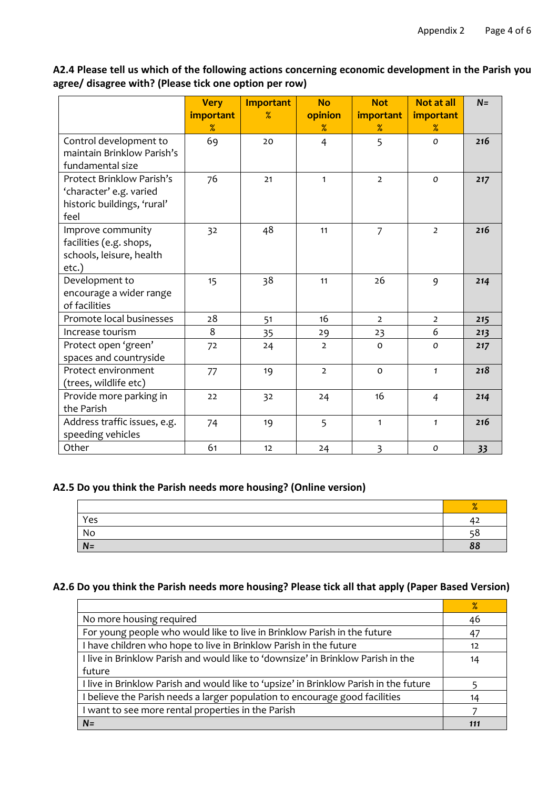**A2.4 Please tell us which of the following actions concerning economic development in the Parish you agree/ disagree with? (Please tick one option per row)**

|                                                                                             | <b>Very</b><br>important<br>$\%$ | <b>Important</b><br>$\%$ | <b>No</b><br>opinion<br>$\%$ | <b>Not</b><br>important<br>$\%$ | Not at all<br>important<br>$\%$ | $N =$ |
|---------------------------------------------------------------------------------------------|----------------------------------|--------------------------|------------------------------|---------------------------------|---------------------------------|-------|
| Control development to<br>maintain Brinklow Parish's<br>fundamental size                    | 69                               | 20                       | $\overline{4}$               | 5                               | $\mathcal{O}$                   | 216   |
| Protect Brinklow Parish's<br>'character' e.g. varied<br>historic buildings, 'rural'<br>feel | 76                               | 21                       | $\mathbf{1}$                 | $\overline{2}$                  | $\mathsf{o}$                    | 217   |
| Improve community<br>facilities (e.g. shops,<br>schools, leisure, health<br>etc.)           | 32                               | 48                       | 11                           | $\overline{7}$                  | $\overline{2}$                  | 216   |
| Development to<br>encourage a wider range<br>of facilities                                  | 15                               | 38                       | 11                           | 26                              | 9                               | 214   |
| Promote local businesses                                                                    | 28                               | 51                       | 16                           | $\overline{2}$                  | $\overline{2}$                  | 215   |
| Increase tourism                                                                            | 8                                | 35                       | 29                           | 23                              | 6                               | 213   |
| Protect open 'green'<br>spaces and countryside                                              | 72                               | 24                       | $\overline{2}$               | $\mathbf 0$                     | 0                               | 217   |
| Protect environment<br>(trees, wildlife etc)                                                | 77                               | 19                       | $\overline{2}$               | $\Omega$                        | $\mathbf{1}$                    | 218   |
| Provide more parking in<br>the Parish                                                       | 22                               | 32                       | 24                           | 16                              | $\overline{4}$                  | 214   |
| Address traffic issues, e.g.<br>speeding vehicles                                           | 74                               | 19                       | 5                            | $\mathbf{1}$                    | $\mathbf{1}$                    | 216   |
| Other                                                                                       | 61                               | 12                       | 24                           | 3                               | 0                               | 33    |

## **A2.5 Do you think the Parish needs more housing? (Online version)**

|      | $\mathbf{O}/$ |
|------|---------------|
| Yes  | 42            |
| No   | - 9           |
| $N=$ | 88            |

## **A2.6 Do you think the Parish needs more housing? Please tick all that apply (Paper Based Version)**

|                                                                                       | $\%$ |
|---------------------------------------------------------------------------------------|------|
| No more housing required                                                              | 46   |
| For young people who would like to live in Brinklow Parish in the future              | 47   |
| I have children who hope to live in Brinklow Parish in the future                     | 12   |
| I live in Brinklow Parish and would like to 'downsize' in Brinklow Parish in the      | 14   |
| future                                                                                |      |
| I live in Brinklow Parish and would like to 'upsize' in Brinklow Parish in the future |      |
| believe the Parish needs a larger population to encourage good facilities             | 14   |
| I want to see more rental properties in the Parish                                    |      |
| $N =$                                                                                 | 111  |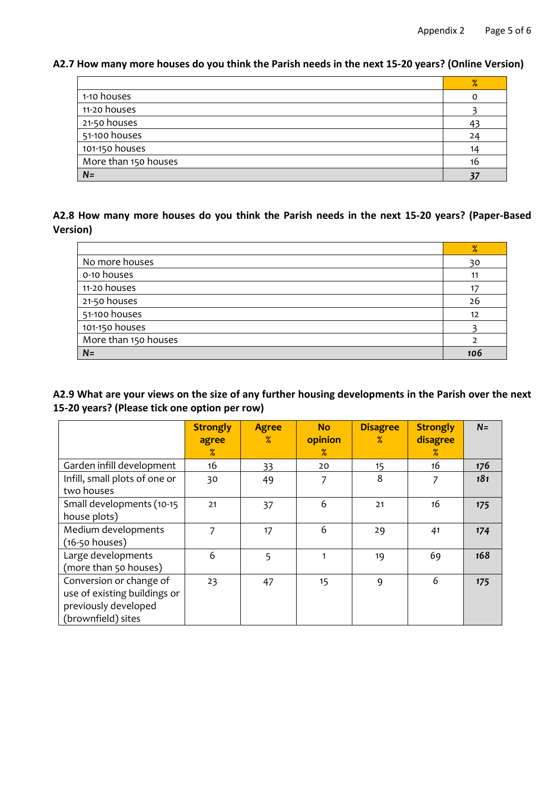**A2.7 How many more houses do you think the Parish needs in the next 15-20 years? (Online Version)**

|                      | %  |
|----------------------|----|
| 1-10 houses          |    |
| 11-20 houses         |    |
| 21-50 houses         |    |
| 51-100 houses        | 24 |
| 101-150 houses       | 14 |
| More than 150 houses | 16 |
| $N=$                 |    |

# **A2.8 How many more houses do you think the Parish needs in the next 15-20 years? (Paper-Based Version)**

|                      | %   |
|----------------------|-----|
| No more houses       | 30  |
| o-10 houses          |     |
| 11-20 houses         |     |
| 21-50 houses         | 26  |
| 51-100 houses        | 12  |
| 101-150 houses       |     |
| More than 150 houses |     |
| $N =$                | 106 |

A2.9 What are your views on the size of any further housing developments in the Parish over the next **15-20 years? (Please tick one option per row)**

|                               | <b>Strongly</b> | <b>Agree</b><br>$\%$ | <b>No</b><br>opinion | <b>Disagree</b><br>$\%$ | <b>Strongly</b>  | $N=$ |
|-------------------------------|-----------------|----------------------|----------------------|-------------------------|------------------|------|
|                               | agree<br>$\%$   |                      | $\%$                 |                         | disagree<br>$\%$ |      |
| Garden infill development     | 16              | 33                   | 20                   | 15                      | 16               | 176  |
| Infill, small plots of one or | 30              | 49                   | 7                    | 8                       | 7                | 181  |
| two houses                    |                 |                      |                      |                         |                  |      |
| Small developments (10-15     | 21              | 37                   | 6                    | 21                      | 16               | 175  |
| house plots)                  |                 |                      |                      |                         |                  |      |
| Medium developments           | 7               | 17                   | 6                    | 29                      | 41               | 174  |
| $(16-50$ houses)              |                 |                      |                      |                         |                  |      |
| Large developments            | 6               | 5                    | 1                    | 19                      | 69               | 168  |
| (more than 50 houses)         |                 |                      |                      |                         |                  |      |
| Conversion or change of       | 23              | 47                   | 15                   | 9                       | 6                | 175  |
| use of existing buildings or  |                 |                      |                      |                         |                  |      |
| previously developed          |                 |                      |                      |                         |                  |      |
| (brownfield) sites            |                 |                      |                      |                         |                  |      |